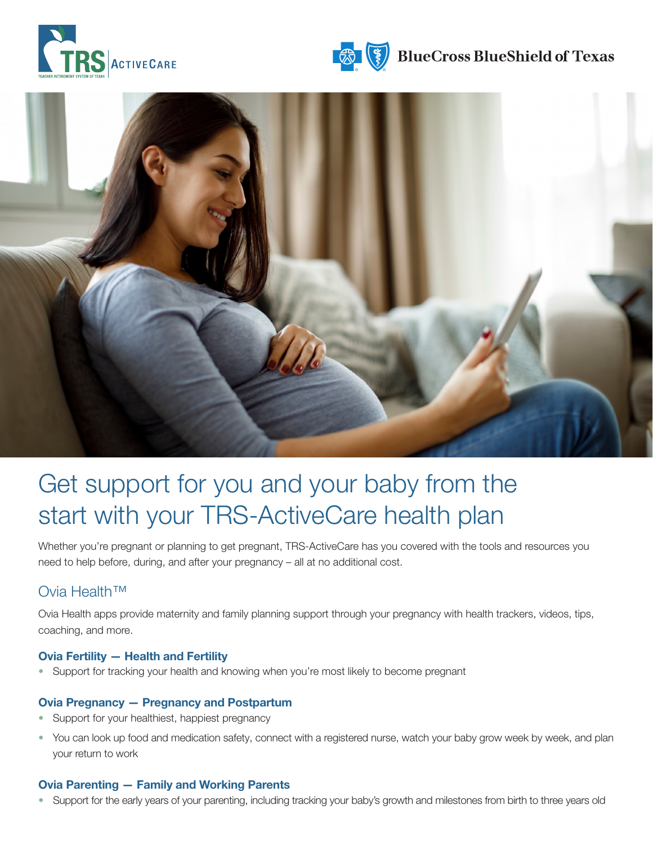





# Get support for you and your baby from the start with your TRS-ActiveCare health plan

Whether you're pregnant or planning to get pregnant, TRS-ActiveCare has you covered with the tools and resources you need to help before, during, and after your pregnancy – all at no additional cost.

### Ovia Health™

Ovia Health apps provide maternity and family planning support through your pregnancy with health trackers, videos, tips, coaching, and more.

#### Ovia Fertility — Health and Fertility

• Support for tracking your health and knowing when you're most likely to become pregnant

#### Ovia Pregnancy — Pregnancy and Postpartum

- Support for your healthiest, happiest pregnancy
- You can look up food and medication safety, connect with a registered nurse, watch your baby grow week by week, and plan your return to work

#### Ovia Parenting — Family and Working Parents

• Support for the early years of your parenting, including tracking your baby's growth and milestones from birth to three years old